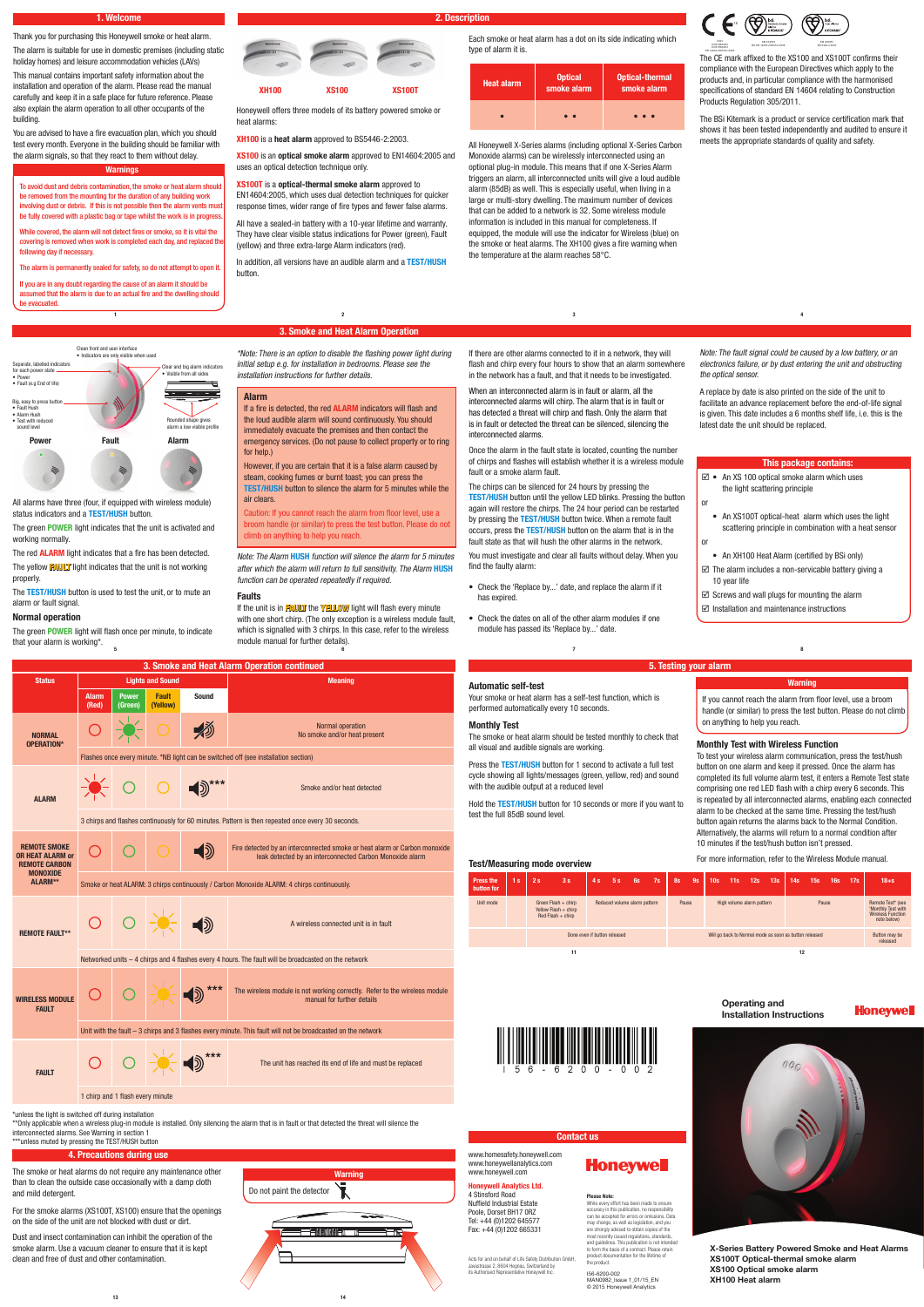Big, easy to press but • Fault Hush • Alarm Hush • Test with reduced sound level

Clean front and user interface • Indicators are only visible when used

> ear and big alarm indicators • Visible from all sides

Rounded shape gives alarm a low visible profile

Separate, labelled indicators for each power state • Power • Fault (e.g End of life)

**Power Fault Alarm**

Thank you for purchasing this Honeywell smoke or heat alarm. The alarm is suitable for use in domestic premises (including static

holiday homes) and leisure accommodation vehicles (LAVs) This manual contains important safety information about the

installation and operation of the alarm. Please read the manual carefully and keep it in a safe place for future reference. Please also explain the alarm operation to all other occupants of the building.

To avoid dust and debris contamination, the smoke or heat alarm should be removed from the mounting for the duration of any building work involving dust or debris. If this is not possible then the alarm vents must be fully covered with a plastic bag or tape whilst the work is in progress

You are advised to have a fire evacuation plan, which you should test every month. Everyone in the building should be familiar with the alarm signals, so that they react to them without delay.

Honeywell offers three models of its battery powered smoke or heat alarms:

**XH100** is a **heat alarm** approved to BS5446-2:2003.

**XS100** is an **optical smoke alarm** approved to EN14604:2005 and uses an optical detection technique only.

# **XS100T** is a **optical-thermal smoke alarm** approved to

EN14604:2005, which uses dual detection techniques for quicker response times, wider range of fire types and fewer false alarms.

All have a sealed-in battery with a 10-year lifetime and warranty. They have clear visible status indications for Power (green), Fault (yellow) and three extra-large Alarm indicators (red).

In addition, all versions have an audible alarm and a **TEST/HUSH** button.

# **1. Welcome 2. Description**

### **Warnings**

While covered, the alarm will not detect fires or smoke, so it is vital the covering is removed when work is completed each day, and replaced the following day if necessary.

The alarm is permanently sealed for safety, so do not attempt to open it.

If you are in any doubt regarding the cause of an alarm it should be assumed that the alarm is due to an actual fire and the dwelling should be evacuated.

> \*Note: There is an option to disable the flashing power light during initial setup e.g. for installation in bedrooms. Please see the installation instructions for further details.

The CE mark affixed to the XS100 and XS100T confirms their compliance with the European Directives which apply to the products and, in particular compliance with the harmonised specifications of standard EN 14604 relating to Construction Products Regulation 305/2011.

The BSi Kitemark is a product or service certification mark that shows it has been tested independently and audited to ensure it meets the appropriate standards of quality and safety.

\*\*Only applicable when a wireless plug-in module is installed. Only silencing the alarm that is in fault or that detected the threat will silence the interconnected alarms. See Warning in section 1 \*\*\*unless muted by pressing the TEST/HUSH button

If there are other alarms connected to it in a network, they will flash and chirp every four hours to show that an alarm somewhere in the network has a fault, and that it needs to be investigated.

www.homesafety.honeywell.com www.honeywellanalytics.com

# **3. Smoke and Heat Alarm Operation 1 2 3**

Acts for and on behalf of Life Safety Distribution GmbH. Javastrasse 2, 8604 Hegnau, Switzerland by its Authorised Representative Honeywell Inc.

When an interconnected alarm is in fault or alarm, all the interconnected alarms will chirp. The alarm that is in fault or has detected a threat will chirp and flash. Only the alarm that is in fault or detected the threat can be silenced, silencing the interconnected alarms.

# **Honeywell**

Once the alarm in the fault state is located, counting the number of chirps and flashes will establish whether it is a wireless module fault or a smoke alarm fault.

The chirps can be silenced for 24 hours by pressing the **TEST/HUSH** button until the yellow LED blinks. Pressing the button again will restore the chirps. The 24 hour period can be restarted by pressing the **TEST/HUSH** button twice. When a remote fault occurs, press the **TEST/HUSH** button on the alarm that is in the fault state as that will hush the other alarms in the network.

You must investigate and clear all faults without delay. When you find the faulty alarm:

- Check the 'Replace by...' date, and replace the alarm if it has expired.
- Check the dates on all of the other alarm modules if one module has passed its 'Replace by...' date.

**4**

If the unit is in **FAULT** the **YELLOW** light will flash every minute with one short chirp. (The only exception is a wireless module fault, which is signalled with 3 chirps. In this case, refer to the wireless

**OR HEAT ALARM or REMOTE CARBON MONOXIDE ALARM\*\***

€.

 $\bigcirc$ 

leak detected by an interconnected Carbon Monoxide alarm

Smoke or heat ALARM: 3 chirps continuously / Carbon Monoxide ALARM: 4 chirps continuously.

**REMOTE FAULT\*\***

A wireless connected unit is in fault

Networked units – 4 chirps and 4 flashes every 4 hours. The fault will be broadcasted on the network



All alarms have three (four, if equipped with wireless module)

status indicators and a **TEST/HUSH** button.

The green **POWER** light indicates that the unit is activated and

working normally.

The red **ALARM** light indicates that a fire has been detected. The yellow **FAULT** light indicates that the unit is not working

properly.

The **TEST/HUSH** button is used to test the unit, or to mute an

alarm or fault signal.

\*unless the light is switched off during installation

# **Operating and Installation Instructions**





**X-Series Battery Powered Smoke and Heat Alarms XS100T Optical-thermal smoke alarm XS100 Optical smoke alarm XH100 Heat alarm**

www.honeywell.com

## **Honeywell Analytics Ltd.**

4 Stinsford Road Nuffield Industrial Estate Poole, Dorset BH17 0RZ Tel: +44 (0)1202 645577 Fax: +44 (0)1202 665331

**Please Note:**

While every effort has been made to ensure accuracy in this publication, no responsibility

can be accepted for errors or omissions. Data may change, as well as legislation, and you are strongly advised to obtain copies of the most recently issued requiredns, standards and quidelines. This publication is not intended to form the basis of a contract. Please retain product documentation for the lifetime of the product.

# I56-6200-002

MAN0982\_Issue 1\_01/15\_EN © 2015 Honeywell Analytics

# **Contact us**

# **Alarm**

If a fire is detected, the red **ALARM** indicators will flash and the loud audible alarm will sound continuously. You should immediately evacuate the premises and then contact the emergency services. (Do not pause to collect property or to ring for help.)

However, if you are certain that it is a false alarm caused by steam, cooking fumes or burnt toast; you can press the **TEST/HUSH** button to silence the alarm for 5 minutes while the air clears.

Caution: If you cannot reach the alarm from floor level, use a broom handle (or similar) to press the test button. Please do not climb on anything to help you reach.



| <b>Heat alarm</b> | <b>Optical</b><br>smoke alarm | <b>Optical-thermal</b><br>smoke alarm |  |  |  |  |
|-------------------|-------------------------------|---------------------------------------|--|--|--|--|
|                   |                               | $\bullet$                             |  |  |  |  |

All Honeywell X-Series alarms (including optional X-Series Carbon Monoxide alarms) can be wirelessly interconnected using an optional plug-in module. This means that if one X-Series Alarm triggers an alarm, all interconnected units will give a loud audible alarm (85dB) as well. This is especially useful, when living in a large or multi-story dwelling. The maximum number of devices that can be added to a network is 32. Some wireless module information is included in this manual for completeness. If equipped, the module will use the indicator for Wireless (blue) on the smoke or heat alarms. The XH100 gives a fire warning when the temperature at the alarm reaches 58°C.

Note: The Alarm **HUSH** function will silence the alarm for 5 minutes after which the alarm will return to full sensitivity. The Alarm **HUSH** function can be operated repeatedly if required.



### **Faults**

The smoke or heat alarms do not require any maintenance other than to clean the outside case occasionally with a damp cloth and mild detergent.

For the smoke alarms (XS100T, XS100) ensure that the openings on the side of the unit are not blocked with dust or dirt.

Dust and insect contamination can inhibit the operation of the smoke alarm. Use a vacuum cleaner to ensure that it is kept clean and free of dust and other contamination.

# **4. Precautions during use**

Note: The fault signal could be caused by a low battery, or an electronics failure, or by dust entering the unit and obstructing the optical sensor.

A replace by date is also printed on the side of the unit to facilitate an advance replacement before the end-of-life signal is given. This date includes a 6 months shelf life, i.e. this is the latest date the unit should be replaced.

# **5. Testing your alarm**

**Test/Measuring mode overview**

# **Automatic self-test**

Your smoke or heat alarm has a self-test function, which is performed automatically every 10 seconds.

## **Monthly Test**

The smoke or heat alarm should be tested monthly to check that all visual and audible signals are working.

Press the **TEST/HUSH** button for 1 second to activate a full test cycle showing all lights/messages (green, yellow, red) and sound with the audible output at a reduced level

Hold the **TEST/HUSH** button for 10 seconds or more if you want to test the full 85dB sound level.

| <u>COMMITTING</u> INCORPORATION |                              |    |                                                                      |    |                                                        |                              |    |       |           |                 |     |                           |                           |                 |       |     |     |                                                                                    |
|---------------------------------|------------------------------|----|----------------------------------------------------------------------|----|--------------------------------------------------------|------------------------------|----|-------|-----------|-----------------|-----|---------------------------|---------------------------|-----------------|-------|-----|-----|------------------------------------------------------------------------------------|
| Press the<br>button for         | l s/                         | 2s | 3s                                                                   | 4s | 5s                                                     | 6s                           | 7s | 8s    | <b>9s</b> | 10 <sub>s</sub> | 11s | 12s                       | 13s                       | 14 <sub>s</sub> | 15s   | 16s | 17s | $18+5$                                                                             |
| Unit mode                       |                              |    | Green Flash $+$ chirp<br>Yellow Flash + chirp<br>$Red Flash + chirp$ |    |                                                        | Reduced volume alarm pattern |    | Pause |           |                 |     | High volume alarm pattern |                           |                 | Pause |     |     | Remote Test* (see<br>'Monthly Test with<br><b>Wireless Function</b><br>note below) |
|                                 | Done even if button released |    |                                                                      |    | Will go back to Normal mode as soon as button released |                              |    |       |           |                 |     |                           | Button may be<br>released |                 |       |     |     |                                                                                    |
|                                 |                              |    | 11                                                                   |    |                                                        |                              |    |       |           |                 |     |                           |                           | 12              |       |     |     |                                                                                    |

## **Monthly Test with Wireless Function**

To test your wireless alarm communication, press the test/hush button on one alarm and keep it pressed. Once the alarm has completed its full volume alarm test, it enters a Remote Test state comprising one red LED flash with a chirp every 6 seconds. This is repeated by all interconnected alarms, enabling each connected alarm to be checked at the same time. Pressing the test/hush button again returns the alarms back to the Normal Condition. Alternatively, the alarms will return to a normal condition after 10 minutes if the test/hush button isn't pressed.

For more information, refer to the Wireless Module manual.

**Warning**

If you cannot reach the alarm from floor level, use a broom handle (or similar) to press the test button. Please do not climb on anything to help you reach.









# **This package contains:**

- $\boxtimes$  An XS 100 optical smoke alarm which uses the light scattering principle
- An XS100T optical-heat alarm which uses the light scattering principle in combination with a heat sensor or
- An XH100 Heat Alarm (certified by BSi only)
- $\boxtimes$  The alarm includes a non-servicable battery giving a 10 year life
- $\boxtimes$  Screws and wall plugs for mounting the alarm
- $\boxtimes$  Installation and maintenance instructions

or